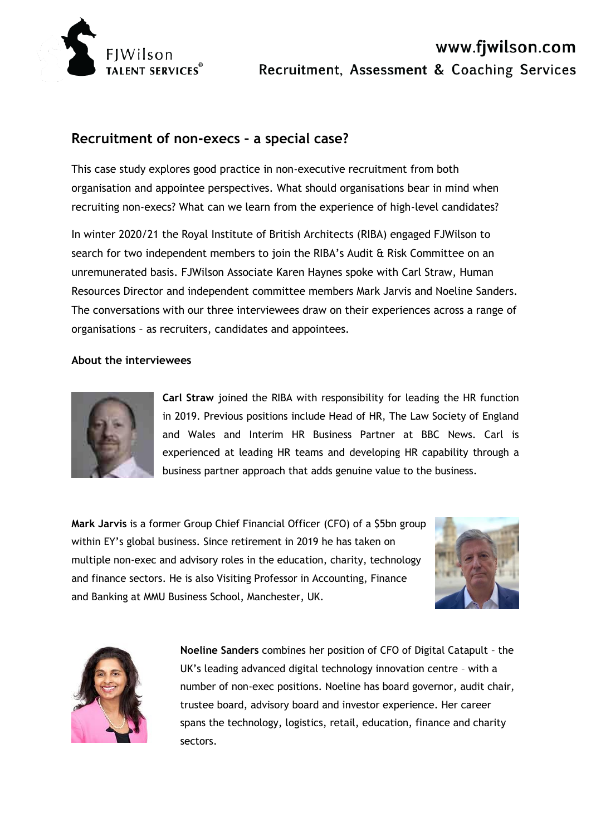

# **Recruitment of non-execs – a special case?**

This case study explores good practice in non-executive recruitment from both organisation and appointee perspectives. What should organisations bear in mind when recruiting non-execs? What can we learn from the experience of high-level candidates?

In winter 2020/21 the Royal Institute of British Architects (RIBA) engaged FJWilson to search for two independent members to join the RIBA's Audit & Risk Committee on an unremunerated basis. FJWilson Associate Karen Haynes spoke with Carl Straw, Human Resources Director and independent committee members Mark Jarvis and Noeline Sanders. The conversations with our three interviewees draw on their experiences across a range of organisations – as recruiters, candidates and appointees.

#### **About the interviewees**



**Carl Straw** joined the RIBA with responsibility for leading the HR function in 2019. Previous positions include Head of HR, The Law Society of England and Wales and Interim HR Business Partner at BBC News. Carl is experienced at leading HR teams and developing HR capability through a business partner approach that adds genuine value to the business.

**Mark Jarvis** is a former Group Chief Financial Officer (CFO) of a \$5bn group within EY's global business. Since retirement in 2019 he has taken on multiple non-exec and advisory roles in the education, charity, technology and finance sectors. He is also Visiting Professor in Accounting, Finance and Banking at MMU Business School, Manchester, UK.





**Noeline Sanders** combines her position of CFO of Digital Catapult – the UK's leading advanced digital technology innovation centre – with a number of non-exec positions. Noeline has board governor, audit chair, trustee board, advisory board and investor experience. Her career spans the technology, logistics, retail, education, finance and charity sectors.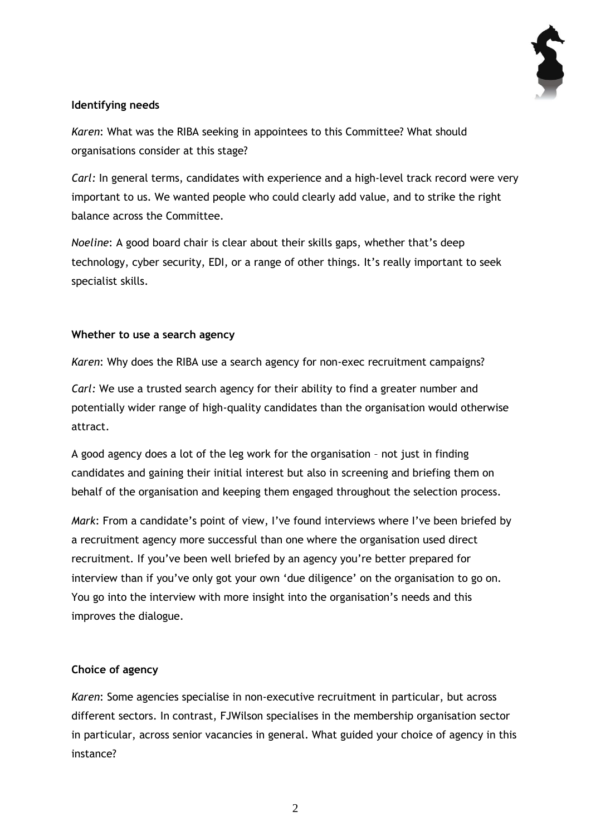

# **Identifying needs**

*Karen*: What was the RIBA seeking in appointees to this Committee? What should organisations consider at this stage?

*Carl:* In general terms, candidates with experience and a high-level track record were very important to us. We wanted people who could clearly add value, and to strike the right balance across the Committee.

*Noeline*: A good board chair is clear about their skills gaps, whether that's deep technology, cyber security, EDI, or a range of other things. It's really important to seek specialist skills.

## **Whether to use a search agency**

*Karen*: Why does the RIBA use a search agency for non-exec recruitment campaigns?

*Carl:* We use a trusted search agency for their ability to find a greater number and potentially wider range of high-quality candidates than the organisation would otherwise attract.

A good agency does a lot of the leg work for the organisation – not just in finding candidates and gaining their initial interest but also in screening and briefing them on behalf of the organisation and keeping them engaged throughout the selection process.

*Mark*: From a candidate's point of view, I've found interviews where I've been briefed by a recruitment agency more successful than one where the organisation used direct recruitment. If you've been well briefed by an agency you're better prepared for interview than if you've only got your own 'due diligence' on the organisation to go on. You go into the interview with more insight into the organisation's needs and this improves the dialogue.

## **Choice of agency**

*Karen*: Some agencies specialise in non-executive recruitment in particular, but across different sectors. In contrast, FJWilson specialises in the membership organisation sector in particular, across senior vacancies in general. What guided your choice of agency in this instance?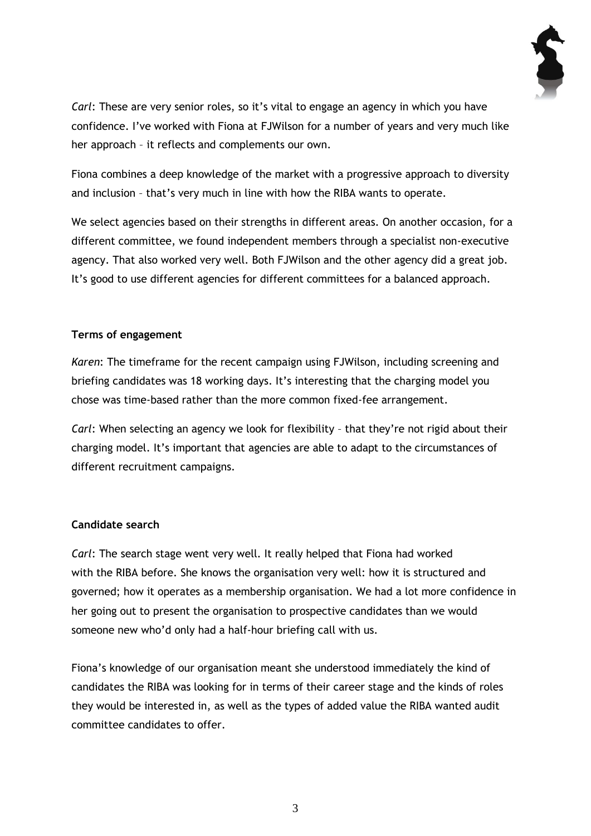

*Carl*: These are very senior roles, so it's vital to engage an agency in which you have confidence. I've worked with Fiona at FJWilson for a number of years and very much like her approach – it reflects and complements our own.

Fiona combines a deep knowledge of the market with a progressive approach to diversity and inclusion – that's very much in line with how the RIBA wants to operate.

We select agencies based on their strengths in different areas. On another occasion, for a different committee, we found independent members through a specialist non-executive agency. That also worked very well. Both FJWilson and the other agency did a great job. It's good to use different agencies for different committees for a balanced approach.

#### **Terms of engagement**

*Karen*: The timeframe for the recent campaign using FJWilson, including screening and briefing candidates was 18 working days. It's interesting that the charging model you chose was time-based rather than the more common fixed-fee arrangement.

*Carl*: When selecting an agency we look for flexibility – that they're not rigid about their charging model. It's important that agencies are able to adapt to the circumstances of different recruitment campaigns.

## **Candidate search**

*Carl*: The search stage went very well. It really helped that Fiona had worked with the RIBA before. She knows the organisation very well: how it is structured and governed; how it operates as a membership organisation. We had a lot more confidence in her going out to present the organisation to prospective candidates than we would someone new who'd only had a half-hour briefing call with us.

Fiona's knowledge of our organisation meant she understood immediately the kind of candidates the RIBA was looking for in terms of their career stage and the kinds of roles they would be interested in, as well as the types of added value the RIBA wanted audit committee candidates to offer.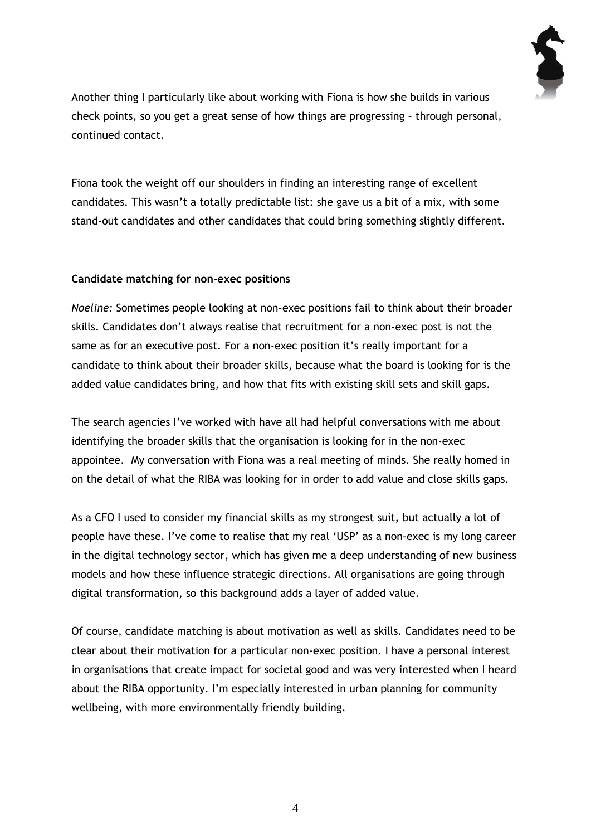

Another thing I particularly like about working with Fiona is how she builds in various check points, so you get a great sense of how things are progressing – through personal, continued contact.

Fiona took the weight off our shoulders in finding an interesting range of excellent candidates. This wasn't a totally predictable list: she gave us a bit of a mix, with some stand-out candidates and other candidates that could bring something slightly different.

## **Candidate matching for non-exec positions**

*Noeline:* Sometimes people looking at non-exec positions fail to think about their broader skills. Candidates don't always realise that recruitment for a non-exec post is not the same as for an executive post. For a non-exec position it's really important for a candidate to think about their broader skills, because what the board is looking for is the added value candidates bring, and how that fits with existing skill sets and skill gaps.

The search agencies I've worked with have all had helpful conversations with me about identifying the broader skills that the organisation is looking for in the non-exec appointee. My conversation with Fiona was a real meeting of minds. She really homed in on the detail of what the RIBA was looking for in order to add value and close skills gaps.

As a CFO I used to consider my financial skills as my strongest suit, but actually a lot of people have these. I've come to realise that my real 'USP' as a non-exec is my long career in the digital technology sector, which has given me a deep understanding of new business models and how these influence strategic directions. All organisations are going through digital transformation, so this background adds a layer of added value.

Of course, candidate matching is about motivation as well as skills. Candidates need to be clear about their motivation for a particular non-exec position. I have a personal interest in organisations that create impact for societal good and was very interested when I heard about the RIBA opportunity. I'm especially interested in urban planning for community wellbeing, with more environmentally friendly building.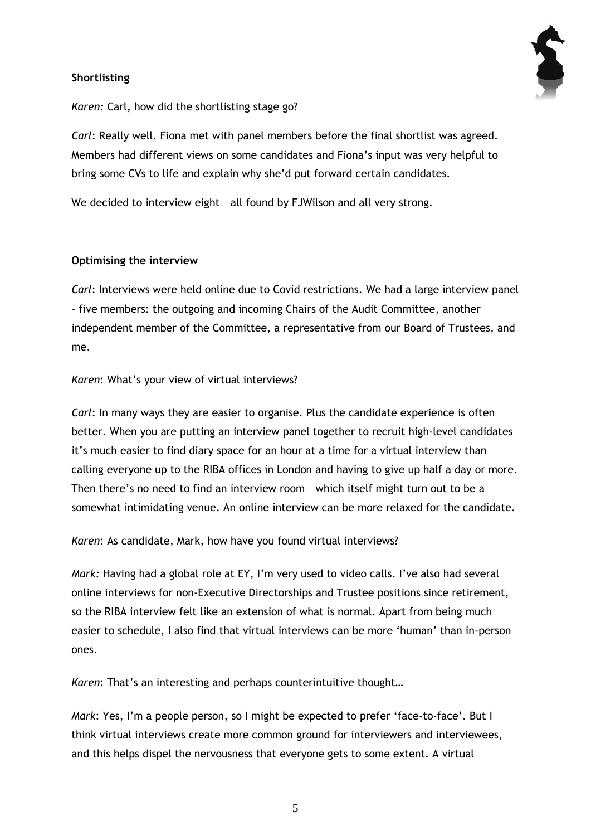## **Shortlisting**



*Karen:* Carl, how did the shortlisting stage go?

*Carl*: Really well. Fiona met with panel members before the final shortlist was agreed. Members had different views on some candidates and Fiona's input was very helpful to bring some CVs to life and explain why she'd put forward certain candidates.

We decided to interview eight – all found by FJWilson and all very strong.

#### **Optimising the interview**

*Carl*: Interviews were held online due to Covid restrictions. We had a large interview panel – five members: the outgoing and incoming Chairs of the Audit Committee, another independent member of the Committee, a representative from our Board of Trustees, and me.

*Karen*: What's your view of virtual interviews?

*Carl*: In many ways they are easier to organise. Plus the candidate experience is often better. When you are putting an interview panel together to recruit high-level candidates it's much easier to find diary space for an hour at a time for a virtual interview than calling everyone up to the RIBA offices in London and having to give up half a day or more. Then there's no need to find an interview room – which itself might turn out to be a somewhat intimidating venue. An online interview can be more relaxed for the candidate.

*Karen*: As candidate, Mark, how have you found virtual interviews?

*Mark:* Having had a global role at EY, I'm very used to video calls. I've also had several online interviews for non-Executive Directorships and Trustee positions since retirement, so the RIBA interview felt like an extension of what is normal. Apart from being much easier to schedule, I also find that virtual interviews can be more 'human' than in-person ones.

*Karen*: That's an interesting and perhaps counterintuitive thought…

*Mark*: Yes, I'm a people person, so I might be expected to prefer 'face-to-face'. But I think virtual interviews create more common ground for interviewers and interviewees, and this helps dispel the nervousness that everyone gets to some extent. A virtual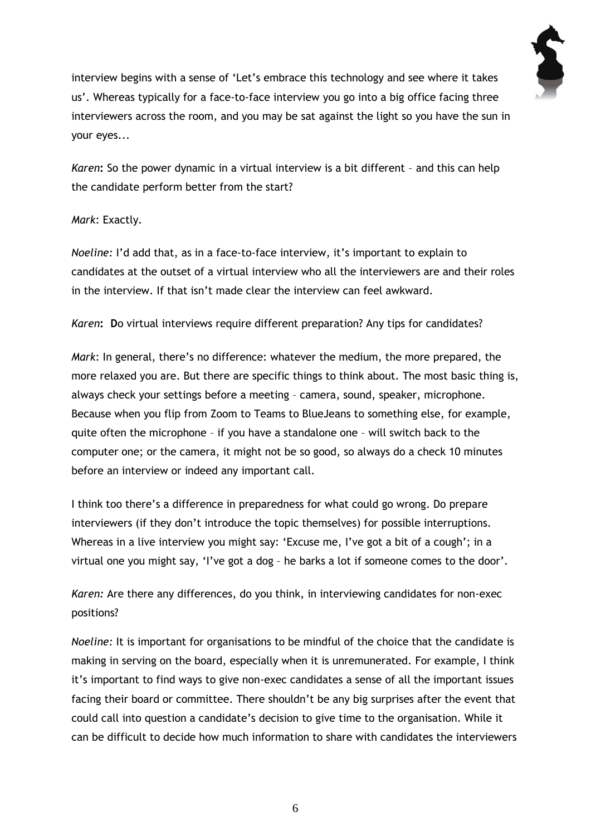

interview begins with a sense of 'Let's embrace this technology and see where it takes us'. Whereas typically for a face-to-face interview you go into a big office facing three interviewers across the room, and you may be sat against the light so you have the sun in your eyes...

*Karen***:** So the power dynamic in a virtual interview is a bit different – and this can help the candidate perform better from the start?

#### *Mark*: Exactly.

*Noeline:* I'd add that, as in a face-to-face interview, it's important to explain to candidates at the outset of a virtual interview who all the interviewers are and their roles in the interview. If that isn't made clear the interview can feel awkward.

*Karen***: D**o virtual interviews require different preparation? Any tips for candidates?

*Mark*: In general, there's no difference: whatever the medium, the more prepared, the more relaxed you are. But there are specific things to think about. The most basic thing is, always check your settings before a meeting – camera, sound, speaker, microphone. Because when you flip from Zoom to Teams to BlueJeans to something else, for example, quite often the microphone – if you have a standalone one – will switch back to the computer one; or the camera, it might not be so good, so always do a check 10 minutes before an interview or indeed any important call.

I think too there's a difference in preparedness for what could go wrong. Do prepare interviewers (if they don't introduce the topic themselves) for possible interruptions. Whereas in a live interview you might say: 'Excuse me, I've got a bit of a cough'; in a virtual one you might say, 'I've got a dog – he barks a lot if someone comes to the door'.

*Karen:* Are there any differences, do you think, in interviewing candidates for non-exec positions?

*Noeline:* It is important for organisations to be mindful of the choice that the candidate is making in serving on the board, especially when it is unremunerated. For example, I think it's important to find ways to give non-exec candidates a sense of all the important issues facing their board or committee. There shouldn't be any big surprises after the event that could call into question a candidate's decision to give time to the organisation. While it can be difficult to decide how much information to share with candidates the interviewers